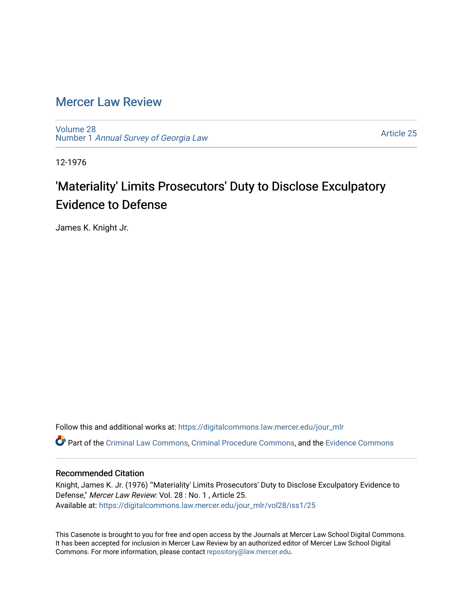## [Mercer Law Review](https://digitalcommons.law.mercer.edu/jour_mlr)

[Volume 28](https://digitalcommons.law.mercer.edu/jour_mlr/vol28) Number 1 [Annual Survey of Georgia Law](https://digitalcommons.law.mercer.edu/jour_mlr/vol28/iss1) 

[Article 25](https://digitalcommons.law.mercer.edu/jour_mlr/vol28/iss1/25) 

12-1976

## 'Materiality' Limits Prosecutors' Duty to Disclose Exculpatory Evidence to Defense

James K. Knight Jr.

Follow this and additional works at: [https://digitalcommons.law.mercer.edu/jour\\_mlr](https://digitalcommons.law.mercer.edu/jour_mlr?utm_source=digitalcommons.law.mercer.edu%2Fjour_mlr%2Fvol28%2Fiss1%2F25&utm_medium=PDF&utm_campaign=PDFCoverPages)

Part of the [Criminal Law Commons,](http://network.bepress.com/hgg/discipline/912?utm_source=digitalcommons.law.mercer.edu%2Fjour_mlr%2Fvol28%2Fiss1%2F25&utm_medium=PDF&utm_campaign=PDFCoverPages) [Criminal Procedure Commons,](http://network.bepress.com/hgg/discipline/1073?utm_source=digitalcommons.law.mercer.edu%2Fjour_mlr%2Fvol28%2Fiss1%2F25&utm_medium=PDF&utm_campaign=PDFCoverPages) and the [Evidence Commons](http://network.bepress.com/hgg/discipline/601?utm_source=digitalcommons.law.mercer.edu%2Fjour_mlr%2Fvol28%2Fiss1%2F25&utm_medium=PDF&utm_campaign=PDFCoverPages) 

## Recommended Citation

Knight, James K. Jr. (1976) "'Materiality' Limits Prosecutors' Duty to Disclose Exculpatory Evidence to Defense," Mercer Law Review: Vol. 28 : No. 1 , Article 25. Available at: [https://digitalcommons.law.mercer.edu/jour\\_mlr/vol28/iss1/25](https://digitalcommons.law.mercer.edu/jour_mlr/vol28/iss1/25?utm_source=digitalcommons.law.mercer.edu%2Fjour_mlr%2Fvol28%2Fiss1%2F25&utm_medium=PDF&utm_campaign=PDFCoverPages) 

This Casenote is brought to you for free and open access by the Journals at Mercer Law School Digital Commons. It has been accepted for inclusion in Mercer Law Review by an authorized editor of Mercer Law School Digital Commons. For more information, please contact [repository@law.mercer.edu.](mailto:repository@law.mercer.edu)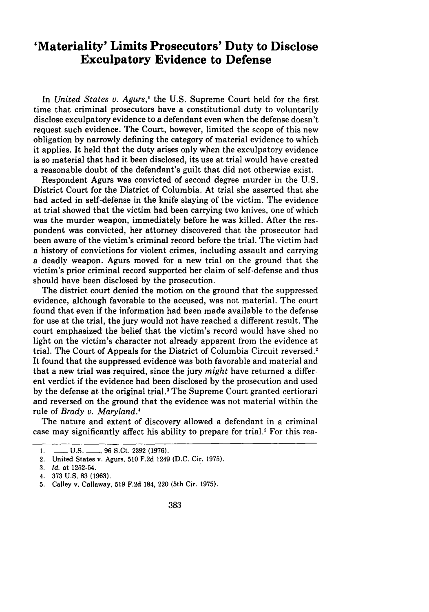## **'Materiality' Limits Prosecutors' Duty to Disclose Exculpatory Evidence to Defense**

In *United States v. Agurs,'* the U.S. Supreme Court held for the first time that criminal prosecutors have a constitutional duty to voluntarily disclose exculpatory evidence to a defendant even when the defense doesn't request such evidence. The Court, however, limited the scope of this new obligation by narrowly defining the category of material evidence to which it applies. It held that the duty arises only when the exculpatory evidence is so material that had it been disclosed, its use at trial would have created a reasonable doubt of the defendant's guilt that did not otherwise exist.

Respondent Agurs was convicted of second degree murder in the U.S. District Court for the District of Columbia. At trial she asserted that she had acted in self-defense in the knife slaying of the victim. The evidence at trial showed that the victim had been carrying two knives, one of which was the murder weapon, immediately before he was killed. After the respondent was convicted, her attorney discovered that the prosecutor had been aware of the victim's criminal record before the trial. The victim had a history of convictions for violent crimes, including assault and carrying a deadly weapon. Agurs moved for a new trial on the ground that the victim's prior criminal record supported her claim of self-defense and thus should have been disclosed by the prosecution.

The district court denied the motion on the ground that the suppressed evidence, although favorable to the accused, was not material. The court found that even if the information had been made available to the defense for use at the trial, the jury would not have reached a different result. The court emphasized the belief that the victim's record would have shed no light on the victim's character not already apparent from the evidence at trial. The Court of Appeals for the District of Columbia Circuit reversed.' It found that the suppressed evidence was both favorable and material and that a new trial was required, since the jury *might* have returned a different verdict if the evidence had been disclosed by the prosecution and used by the defense at the original trial.<sup>3</sup> The Supreme Court granted certiorari and reversed on the ground that the evidence was not material within the rule of *Brady v. Maryland.'*

The nature and extent of discovery allowed a defendant in a criminal case may significantly affect his ability to prepare for trial.<sup>5</sup> For this rea-

**l. - U.S. -** 96 S.Ct. 2392 (1976).

<sup>2.</sup> United States v. Agurs, 510 F.2d 1249 (D.C. Cir. 1975).

<sup>3.</sup> *Id.* at 1252-54.

<sup>4.</sup> **373** U.S. 83 (1963).

<sup>5.</sup> Calley v. Callaway, 519 F.2d 184, 220 (5th Cir. 1975).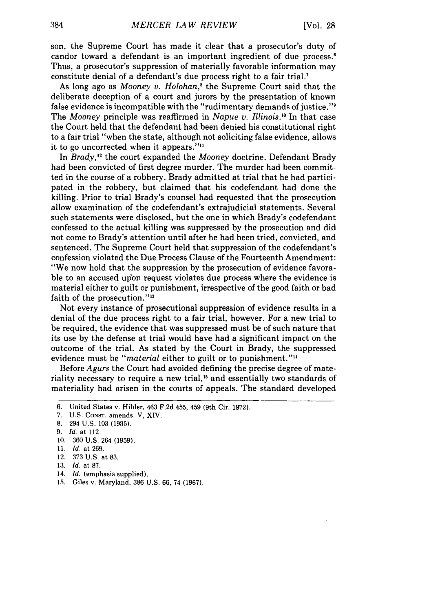son, the Supreme Court has made it clear that a prosecutor's duty of candor toward a defendant is an important ingredient of due process.<sup>6</sup> Thus, a prosecutor's suppression of materially favorable information may constitute denial of a defendant's due process right to a fair trial.7

As long ago as *Mooney v. Holohan*,<sup>8</sup> the Supreme Court said that the deliberate deception of a court and jurors by the presentation of known false evidence is incompatible with the "rudimentary demands of justice."9 The *Mooney* principle was reaffirmed in *Napue v. Illinois.'0* In that case the Court held that the defendant had been denied his constitutional right to a fair trial "when the state, although not soliciting false evidence, allows it to go uncorrected when it appears.""

In *Brady,"'* the court expanded the *Mooney* doctrine. Defendant Brady had been convicted of first degree murder. The murder had been committed in the course of a robbery. Brady admitted at trial that he had participated in the robbery, but claimed that his codefendant had done the killing. Prior to trial Brady's counsel had requested that the prosecution allow examination of the codefendant's extrajudicial statements. Several such statements were disclosed, but the one in which Brady's codefendant confessed to the actual killing was suppressed by the prosecution and did not come to Brady's attention until after he had been tried, convicted, and sentenced. The Supreme Court held that suppression of the codefendant's confession violated the Due Process Clause of the Fourteenth Amendment: "We now hold that the suppression by the prosecution of evidence favorable to an accused upon request violates due process where the evidence is material either to guilt or punishment, irrespective of the good faith or bad faith of the prosecution."<sup>13</sup>

Not every instance of prosecutional suppression of evidence results in a denial of the due process right to a fair trial, however. For a new trial to be required, the evidence that was suppressed must be of such nature that its use by the defense at trial would have had a significant impact on the outcome of the trial. As stated by the Court in Brady, the suppressed evidence must be *"material* either to guilt or to punishment.""

Before *Agurs* the Court had avoided defining the precise degree of materiality necessary to require a new trial,<sup>15</sup> and essentially two standards of materiality had arisen in the courts of appeals. The standard developed

- 13. *Id.* at 87.
- 14. *Id.* (emphasis supplied).
- 15. Giles v. Maryland, 386 U.S. 66, 74 (1967).

<sup>6.</sup> United States v. Hibler, 463 F.2d 455, 459 (9th Cir. 1972).

<sup>7.</sup> U.S. CONST. amends. V, XIV.

<sup>8. 294</sup> U.S. 103 (1935).

<sup>9.</sup> *Id.* at 112.

<sup>10. 360</sup> U.S. 264 (1959).

<sup>11.</sup> *Id.* at 269.

<sup>12. 373</sup> U.S. at 83.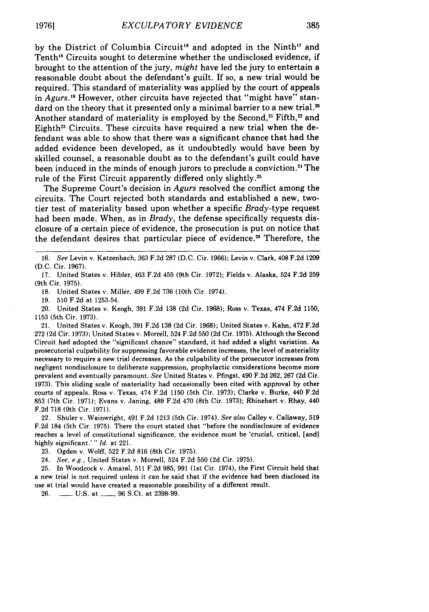by the District of Columbia Circuit<sup>16</sup> and adopted in the Ninth<sup>17</sup> and Tenth<sup>18</sup> Circuits sought to determine whether the undisclosed evidence, if brought to the attention of the jury, *might* have led the jury to entertain a reasonable doubt about the defendant's guilt. If so, a new trial would be required. This standard of materiality was applied by the court of appeals in *Agurs*.<sup>19</sup> However, other circuits have rejected that "might have" standard on the theory that it presented only a minimal barrier to a new trial.<sup>20</sup> Another standard of materiality is employed by the Second,<sup>21</sup> Fifth,<sup>22</sup> and Eighth<sup>23</sup> Circuits. These circuits have required a new trial when the defendant was able to show that there was a significant chance that had the added evidence been developed, as it undoubtedly would have been by skilled counsel, a reasonable doubt as to the defendant's guilt could have been induced in the minds of enough jurors to preclude a conviction.<sup>24</sup> The rule of the First Circuit apparently differed only slightly.<sup>25</sup>

The Supreme Court's decision in *Agurs* resolved the conflict among the circuits. The Court rejected both standards and established a new, twotier test of materiality based upon whether a specific *Brady-type* request had been made. When, as in *Brady,* the defense specifically requests disclosure of a certain piece of evidence, the prosecution is put on notice that the defendant desires that particular piece of evidence.<sup>26</sup> Therefore, the

18. United States v. Miller, 499 F.2d 736 (10th Cir. 1974).

19. 510 F.2d at 1253-54.

20. United States v. Keogh, 391 F.2d 138 (2d Cir. 1968); Ross v, Texas, 474 F.2d 1150, 1153 (5th Cir. 1973).

21. United States v. Keogh, 391 F.2d 138 (2d Cir. 1968); United States v. Kahn, 472 F.2d 272 (2d Cir. 1973); United States v. Morrell, 524 F.2d 550 (2d Cir. 1975). Although the Second Circuit had adopted the "significant chance" standard, it had added a slight variation. As prosecutorial culpability for suppressing favorable evidence increases, the level of materiality necessary to require a new trial decreases. As the culpability of the prosecutor increases from negligent nondisclosure to deliberate suppression, prophylactic considerations become more prevalent and eventually paramount. *See* United States v. Pfingst, 490 F.2d 262, 267 (2d Cir. 1973). This sliding scale of materiality had occasionally been cited with approval by other courts of appeals. Ross v. Texas, 474 F.2d 1150 (5th Cir. 1973); Clarke v. Burke, 440 F.2d 853 (7th Cir. 1971); Evans v. Janing, 489 F.2d 470 (8th Cir. 1973); Rhinehart v. Rhay, 440 F.2d 718 (9th Cir. 1971).

22. Shuler v. Wainwright, 491 F.2d 1213 (5th Cir. 1974). *See also* Calley v. Callaway, 519 F.2d 184 (5th Cir. 1975). There the court stated that "before the nondisclosure of evidence reaches a level of constitutional significance, the evidence must be 'crucial, critical, [and] highly significant.' " *Id.* at 221.

23. Ogden v. Wolff, 522 F.2d 816 (8th Cir. 1975).

24. *See. e.g.,* United States v. Morrell, 524 F.2d 550 (2d Cir. 1975).

25. In Woodcock v. Amaral, 511 F.2d 985, 991 (1st Cir. 1974), the First Circuit held that a new trial is not required unless it can be said that if the evidence had been disclosed its use at trial would have created a reasonable possibility of a different result.

26. **-** U.S. at **\_\_\_**, 96 S.Ct. at 2398-99.

<sup>16.</sup> *See* Levin v. Katzenbach, 363 F.2d 287 (D.C. Cir. 1966); Levin v. Clark, 408 F.2d 1209 (D.C. Cir. 1967).

<sup>17.</sup> United States v. Hibler, 463 F.2d 455 (9th Cir. 1972); Fields v. Alaska, 524 F.2d 259 (9th Cir. 1975).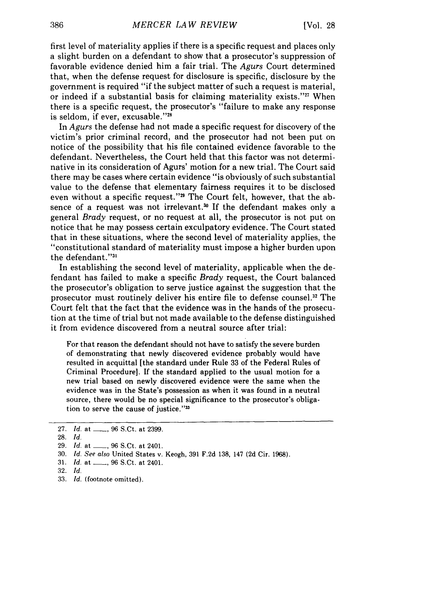first level of materiality applies if there is a specific request and places only a slight burden on a defendant to show that a prosecutor's suppression of favorable evidence denied him a fair trial. The *Agurs* Court determined that, when the defense request for disclosure is specific, disclosure by the government is required "if the subject matter of such a request is material, or indeed if a substantial basis for claiming materiality exists."<sup>27</sup> When there is a specific request, the prosecutor's "failure to make any response is seldom, if ever, excusable."28

In *Agurs* the defense had not made a specific request for discovery of the victim's prior criminal record, and the prosecutor had not been put on notice of the possibility that his file contained evidence favorable to the defendant. Nevertheless, the Court held that this factor was not determinative in its consideration of Agurs' motion for a new trial. The Court said there may be cases where certain evidence "is obviously of such substantial value to the defense that elementary fairness requires it to be disclosed even without a specific request."<sup>29</sup> The Court felt, however, that the absence of a request was not irrelevant.<sup>30</sup> If the defendant makes only a general *Brady* request, or no request at all, the prosecutor is not put on notice that he may possess certain exculpatory evidence. The Court stated that in these situations, where the second level of materiality applies, the "constitutional standard of materiality must impose a higher burden upon the defendant."3

In establishing the second level of materiality, applicable when the defendant has failed to make a specific *Brady* request, the Court balanced the prosecutor's obligation to serve justice against the suggestion that the prosecutor must routinely deliver his entire file to defense counsel. 32 The Court felt that the fact that the evidence was in the hands of the prosecution at the time of trial but not made available to the defense distinguished it from evidence discovered from a neutral source after trial:

For that reason the defendant should not have to satisfy the severe burden of demonstrating that newly discovered evidence probably would have resulted in acquittal [the standard under Rule 33 of the Federal Rules of Criminal Procedure]. If the standard applied to the usual motion for a new trial based on newly discovered evidence were the same when the evidence was in the State's possession as when it was found in a neutral source, there would be no special significance to the prosecutor's obligation to serve the cause of justice."<sup>33</sup>

<sup>27.</sup> *Id.* at \_\_\_\_, 96 S.Ct. at 2399.

<sup>28.</sup> Id.

<sup>29.</sup> *Id.* at \_\_\_, 96 S.Ct. at 2401.

<sup>30.</sup> *Id.* See also United States v. Keogh, 391 F.2d 138, 147 (2d Cir. 1968).

<sup>31.</sup> *Id.* at , 96 S.Ct. at 2401.

<sup>32.</sup> **Id.**

<sup>33.</sup> *Id.* (footnote omitted).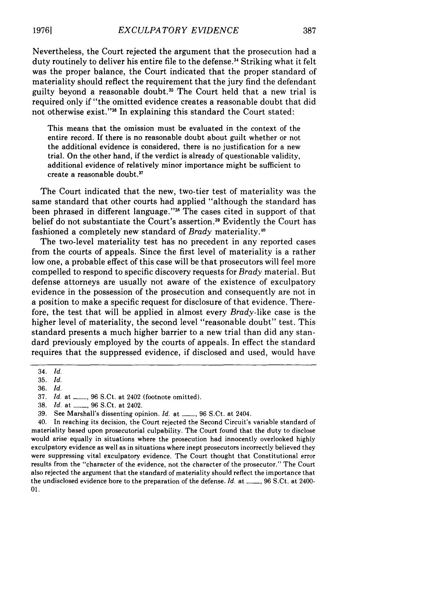Nevertheless, the Court rejected the argument that the prosecution had a duty routinely to deliver his entire file to the defense.<sup>34</sup> Striking what it felt was the proper balance, the Court indicated that the proper standard of materiality should reflect the requirement that the jury find the defendant guilty beyond a reasonable doubt.<sup>35</sup> The Court held that a new trial is required only if "the omitted evidence creates a reasonable doubt that did not otherwise exist."<sup>36</sup> In explaining this standard the Court stated:

This means that the omission must be evaluated in the context of the entire record. If there is no reasonable doubt about guilt whether or not the additional evidence is considered, there is no justification for a new trial. On the other hand, if the verdict is already of questionable validity, additional evidence of relatively minor importance might be sufficient to create a reasonable doubt."

The Court indicated that the new, two-tier test of materiality was the same standard that other courts had applied "although the standard has been phrased in different language."<sup>38</sup> The cases cited in support of that belief do not substantiate the Court's assertion.39 Evidently the Court has fashioned a completely new standard of *Brady* materiality.<sup>40</sup>

The two-level materiality test has no precedent in any reported cases from the courts of appeals. Since the first level of materiality is a rather low one, a probable effect of this case will be that prosecutors will feel more compelled to respond to specific discovery requests for *Brady* material. But defense attorneys are usually not aware of the existence of exculpatory evidence in the possession of the prosecution and consequently are not in a position to make a specific request for disclosure of that evidence. Therefore, the test that will be applied in almost every *Brady-like* case is the higher level of materiality, the second level "reasonable doubt" test. This standard presents a much higher barrier to a new trial than did any standard previously employed by the courts of appeals. In effect the standard requires that the suppressed evidence, if disclosed and used, would have

40. In reaching its decision, the Court rejected the Second Circuit's variable standard of materiality based upon prosecutorial culpability. The Court found that the duty to disclose would arise equally in situations where the prosecution had innocently overlooked highly exculpatory evidence as well as in situations where inept prosecutors incorrectly believed they were suppressing vital exculpatory evidence. The Court thought that Constitutional error results from the "character of the evidence, not the character of the prosecutor." The Court also rejected the argument that the standard of materiality should reflect the importance that the undisclosed evidence bore to the preparation of the defense. *Id.* at \_\_, 96 S.Ct. at 2400- 01.

<sup>34.</sup> *Id.*

<sup>35.</sup> *Id.*

<sup>36.</sup> *Id.*

<sup>37.</sup> *Id.* at \_\_, 96 S.Ct. at 2402 (footnote omitted).

<sup>38.</sup> *Id.* at \_\_, 96 S.Ct. at 2402.

<sup>39.</sup> See Marshall's dissenting opinion. *Id.* at **-, 96 S.Ct.** at 2404.